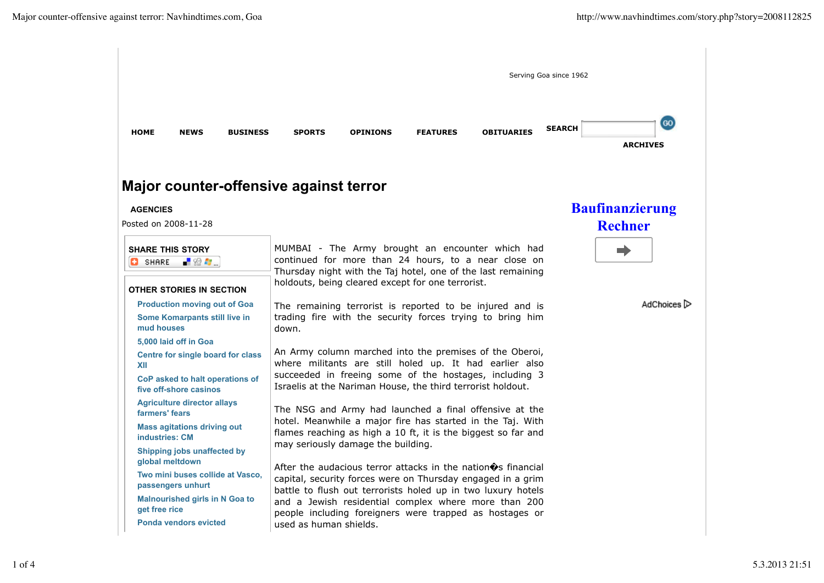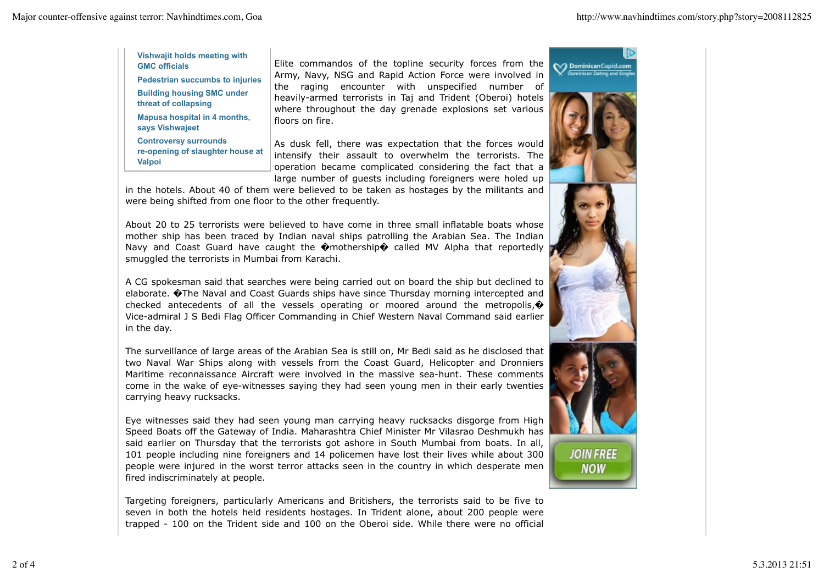**Vishwajit holds meeting with GMC officials**

**Pedestrian succumbs to injuries Building housing SMC under threat of collapsing Mapusa hospital in 4 months, says Vishwajeet Controversy surrounds**

**re-opening of slaughter house at Valpoi**

Elite commandos of the topline security forces from the Army, Navy, NSG and Rapid Action Force were involved in the raging encounter with unspecified number of heavily-armed terrorists in Taj and Trident (Oberoi) hotels where throughout the day grenade explosions set various floors on fire.

As dusk fell, there was expectation that the forces would intensify their assault to overwhelm the terrorists. The operation became complicated considering the fact that a large number of guests including foreigners were holed up

in the hotels. About 40 of them were believed to be taken as hostages by the militants and were being shifted from one floor to the other frequently.

About 20 to 25 terrorists were believed to have come in three small inflatable boats whose mother ship has been traced by Indian naval ships patrolling the Arabian Sea. The Indian Navy and Coast Guard have caught the  $\bullet$  mothership $\bullet$  called MV Alpha that reportedly smuggled the terrorists in Mumbai from Karachi.

A CG spokesman said that searches were being carried out on board the ship but declined to elaborate. �The Naval and Coast Guards ships have since Thursday morning intercepted and checked antecedents of all the vessels operating or moored around the metropolis, $\hat{\boldsymbol{\varphi}}$ Vice-admiral J S Bedi Flag Officer Commanding in Chief Western Naval Command said earlier in the day.

The surveillance of large areas of the Arabian Sea is still on, Mr Bedi said as he disclosed that two Naval War Ships along with vessels from the Coast Guard, Helicopter and Dronniers Maritime reconnaissance Aircraft were involved in the massive sea-hunt. These comments come in the wake of eye-witnesses saying they had seen young men in their early twenties carrying heavy rucksacks.

Eye witnesses said they had seen young man carrying heavy rucksacks disgorge from High Speed Boats off the Gateway of India. Maharashtra Chief Minister Mr Vilasrao Deshmukh has said earlier on Thursday that the terrorists got ashore in South Mumbai from boats. In all, 101 people including nine foreigners and 14 policemen have lost their lives while about 300 people were injured in the worst terror attacks seen in the country in which desperate men fired indiscriminately at people.

Targeting foreigners, particularly Americans and Britishers, the terrorists said to be five to seven in both the hotels held residents hostages. In Trident alone, about 200 people were trapped - 100 on the Trident side and 100 on the Oberoi side. While there were no official

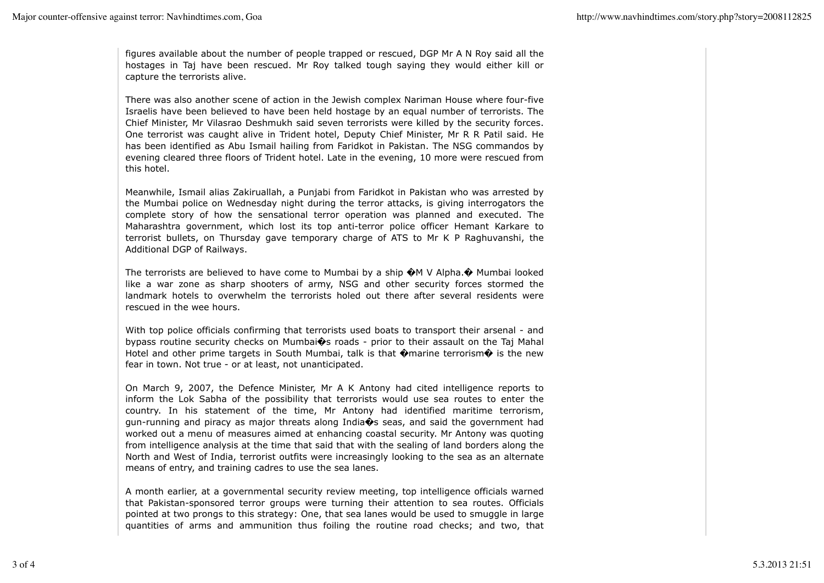figures available about the number of people trapped or rescued, DGP Mr A N Roy said all the hostages in Taj have been rescued. Mr Roy talked tough saying they would either kill or capture the terrorists alive.

There was also another scene of action in the Jewish complex Nariman House where four-five Israelis have been believed to have been held hostage by an equal number of terrorists. The Chief Minister, Mr Vilasrao Deshmukh said seven terrorists were killed by the security forces. One terrorist was caught alive in Trident hotel, Deputy Chief Minister, Mr R R Patil said. He has been identified as Abu Ismail hailing from Faridkot in Pakistan. The NSG commandos by evening cleared three floors of Trident hotel. Late in the evening, 10 more were rescued from this hotel.

Meanwhile, Ismail alias Zakiruallah, a Punjabi from Faridkot in Pakistan who was arrested by the Mumbai police on Wednesday night during the terror attacks, is giving interrogators the complete story of how the sensational terror operation was planned and executed. The Maharashtra government, which lost its top anti-terror police officer Hemant Karkare to terrorist bullets, on Thursday gave temporary charge of ATS to Mr K P Raghuvanshi, the Additional DGP of Railways.

The terrorists are believed to have come to Mumbai by a ship  $\bigcirc M$  V Alpha. $\bigcirc$  Mumbai looked like a war zone as sharp shooters of army, NSG and other security forces stormed the landmark hotels to overwhelm the terrorists holed out there after several residents were rescued in the wee hours.

With top police officials confirming that terrorists used boats to transport their arsenal - and bypass routine security checks on Mumbai $\hat{\mathbf{\Theta}}$ s roads - prior to their assault on the Taj Mahal Hotel and other prime targets in South Mumbai, talk is that  $\hat{\mathbf{\Theta}}$ marine terrorism $\hat{\mathbf{\Theta}}$  is the new fear in town. Not true - or at least, not unanticipated.

On March 9, 2007, the Defence Minister, Mr A K Antony had cited intelligence reports to inform the Lok Sabha of the possibility that terrorists would use sea routes to enter the country. In his statement of the time, Mr Antony had identified maritime terrorism, gun-running and piracy as major threats along India�s seas, and said the government had worked out a menu of measures aimed at enhancing coastal security. Mr Antony was quoting from intelligence analysis at the time that said that with the sealing of land borders along the North and West of India, terrorist outfits were increasingly looking to the sea as an alternate means of entry, and training cadres to use the sea lanes.

A month earlier, at a governmental security review meeting, top intelligence officials warned that Pakistan-sponsored terror groups were turning their attention to sea routes. Officials pointed at two prongs to this strategy: One, that sea lanes would be used to smuggle in large quantities of arms and ammunition thus foiling the routine road checks; and two, that